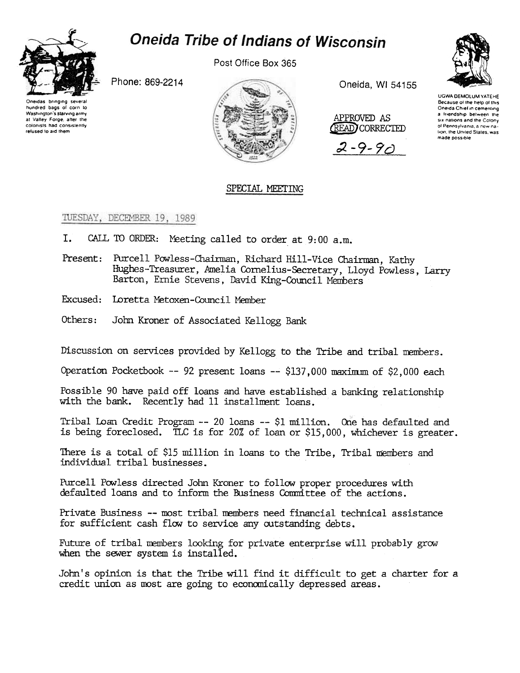

## **Oneida Tribe of Indians of Wisconsin**

Post Office Box 365

Phone: 869-2214





Oneida, WI 54155



 $2 - 9 - 9$ 



UGWA DEMOLUM YATEHE Because of the help of this Oneida Chief in cementing a friendship between the six nations and the Colony of Pennsylvania, a new nation, the United States, was made possible

## SPECIAL MEETING

TUESDAY, DECEMBER 19, 1989

- I. CALL TO ORDER: Meeting called to order at 9:00 a.m.
- Present: Purcell Powless-Chairman, Richard Hill-Vice Chairman, Kathy Hughes-Treasurer, Amelia Cornelius-Secretary, Lloyd Powless, Larry Barton, Ernie Stevens, David King-Council Members
- Excused: Loretta Metoxen-Council Member
- Others: John Kroner of Associated Kellogg Bank

Discussion on services provided by Kellogg to the Tribe and tribal members.

Operation Pocketbook -- 92 present loans -- \$137.000 maximum of \$2,000 each

Possible 90 have paid off loans and have established a banking relationship with the bank. Recently had 11 installment loans.

Tribal Loan Credit Program -- 20 loans -- \$1 million. One has defaulted and is being foreclosed. TLC is for 20% of loan or \$15,000, whichever is greater.

There is a total of \$15 million in loans to the Tribe, Tribal members and individual tribal businesses.

Purcell Powless directed John Kroner to follow proper procedures with defaulted loans and to inform the Business Committee of the actions.

Private Business -- most tribal members need financial technical assistance for sufficient cash flow to service any outstanding debts.

Future of tribal members looking for private enterprise will probably grow when the sewer system is installed.

John's opinion is that the Tribe will find it difficult to get a charter for a credit union as most are going to economically depressed areas.